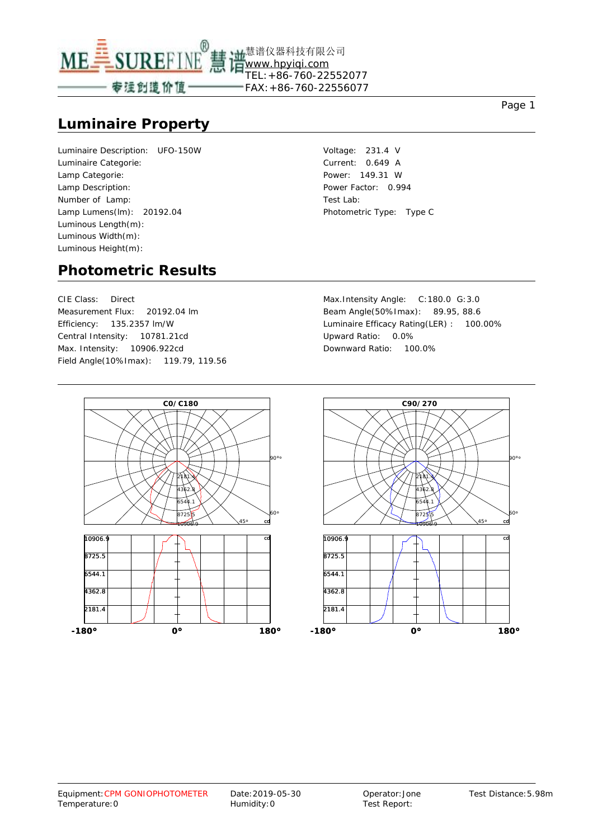

#### **Luminaire Property**

Luminaire Description: UFO-150W Luminaire Categorie: Lamp Categorie: Lamp Description: Number of Lamp: Lamp Lumens(lm): 20192.04 Luminous Length(m): Luminous Width(m): Luminous Height(m):

Voltage: 231.4 V Current: 0.649 A Power: 149.31 W Power Factor: 0.994 Test Lab: Photometric Type: Type C

#### **Photometric Results**

CIE Class: Direct Measurement Flux: 20192.04 lm Efficiency: 135.2357 lm/W Central Intensity: 10781.21cd Max. Intensity: 10906.922cd Field Angle(10%Imax): 119.79, 119.56 Max.Intensity Angle: C:180.0 G:3.0 Beam Angle(50%Imax): 89.95, 88.6 Luminaire Efficacy Rating(LER) : 100.00% Upward Ratio: 0.0% Downward Ratio: 100.0%



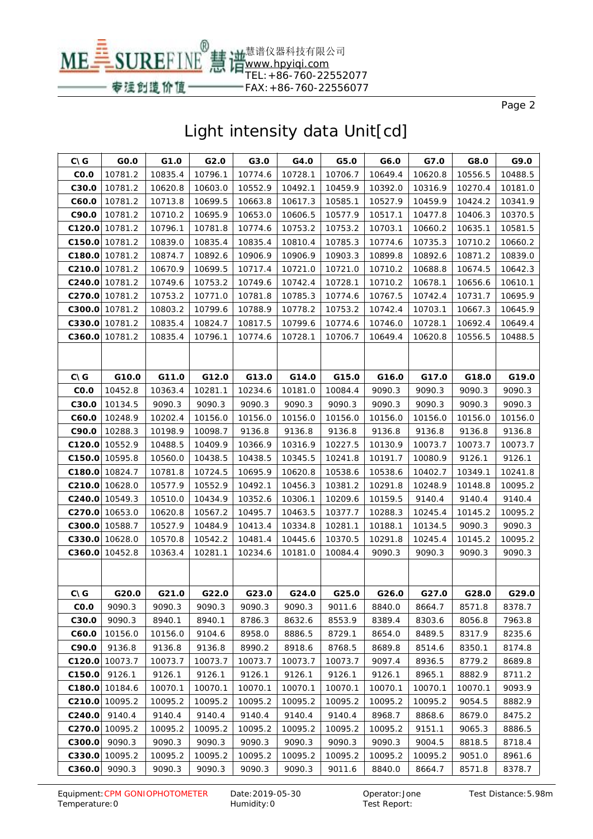

| $C\setminus G$ | GO.O           | G1.0    | G2.0    | G3.0    | G4.0    | G5.0    | G6.0    | G7.0    | G8.0    | G9.0    |
|----------------|----------------|---------|---------|---------|---------|---------|---------|---------|---------|---------|
| CO.O           | 10781.2        | 10835.4 | 10796.1 | 10774.6 | 10728.1 | 10706.7 | 10649.4 | 10620.8 | 10556.5 | 10488.5 |
| C30.0          | 10781.2        | 10620.8 | 10603.0 | 10552.9 | 10492.1 | 10459.9 | 10392.0 | 10316.9 | 10270.4 | 10181.0 |
| C60.0          | 10781.2        | 10713.8 | 10699.5 | 10663.8 | 10617.3 | 10585.1 | 10527.9 | 10459.9 | 10424.2 | 10341.9 |
| C90.0          | 10781.2        | 10710.2 | 10695.9 | 10653.0 | 10606.5 | 10577.9 | 10517.1 | 10477.8 | 10406.3 | 10370.5 |
|                | C120.0 10781.2 | 10796.1 | 10781.8 | 10774.6 | 10753.2 | 10753.2 | 10703.1 | 10660.2 | 10635.1 | 10581.5 |
|                | C150.0 10781.2 | 10839.0 | 10835.4 | 10835.4 | 10810.4 | 10785.3 | 10774.6 | 10735.3 | 10710.2 | 10660.2 |
| C180.0         | 10781.2        | 10874.7 | 10892.6 | 10906.9 | 10906.9 | 10903.3 | 10899.8 | 10892.6 | 10871.2 | 10839.0 |
|                | C210.0 10781.2 | 10670.9 | 10699.5 | 10717.4 | 10721.0 | 10721.0 | 10710.2 | 10688.8 | 10674.5 | 10642.3 |
|                | C240.0 10781.2 | 10749.6 | 10753.2 | 10749.6 | 10742.4 | 10728.1 | 10710.2 | 10678.1 | 10656.6 | 10610.1 |
|                | C270.0 10781.2 | 10753.2 | 10771.0 | 10781.8 | 10785.3 | 10774.6 | 10767.5 | 10742.4 | 10731.7 | 10695.9 |
| C300.0         | 10781.2        | 10803.2 | 10799.6 | 10788.9 | 10778.2 | 10753.2 | 10742.4 | 10703.1 | 10667.3 | 10645.9 |
|                | C330.0 10781.2 | 10835.4 | 10824.7 | 10817.5 | 10799.6 | 10774.6 | 10746.0 | 10728.1 | 10692.4 | 10649.4 |
| C360.0         | 10781.2        | 10835.4 | 10796.1 | 10774.6 | 10728.1 | 10706.7 | 10649.4 | 10620.8 | 10556.5 | 10488.5 |
|                |                |         |         |         |         |         |         |         |         |         |
|                |                |         |         |         |         |         |         |         |         |         |
| $C\setminus G$ | G10.0          | G11.0   | G12.0   | G13.0   | G14.0   | G15.0   | G16.0   | G17.0   | G18.0   | G19.0   |
| CO.O           | 10452.8        | 10363.4 | 10281.1 | 10234.6 | 10181.0 | 10084.4 | 9090.3  | 9090.3  | 9090.3  | 9090.3  |
| C30.0          | 10134.5        | 9090.3  | 9090.3  | 9090.3  | 9090.3  | 9090.3  | 9090.3  | 9090.3  | 9090.3  | 9090.3  |
| C60.0          | 10248.9        | 10202.4 | 10156.0 | 10156.0 | 10156.0 | 10156.0 | 10156.0 | 10156.0 | 10156.0 | 10156.0 |
| C90.0          | 10288.3        | 10198.9 | 10098.7 | 9136.8  | 9136.8  | 9136.8  | 9136.8  | 9136.8  | 9136.8  | 9136.8  |
| C120.0         | 10552.9        | 10488.5 | 10409.9 | 10366.9 | 10316.9 | 10227.5 | 10130.9 | 10073.7 | 10073.7 | 10073.7 |
| C150.0         | 10595.8        | 10560.0 | 10438.5 | 10438.5 | 10345.5 | 10241.8 | 10191.7 | 10080.9 | 9126.1  | 9126.1  |
| C180.0         | 10824.7        | 10781.8 | 10724.5 | 10695.9 | 10620.8 | 10538.6 | 10538.6 | 10402.7 | 10349.1 | 10241.8 |
|                | C210.0 10628.0 | 10577.9 | 10552.9 | 10492.1 | 10456.3 | 10381.2 | 10291.8 | 10248.9 | 10148.8 | 10095.2 |
|                | C240.0 10549.3 | 10510.0 | 10434.9 | 10352.6 | 10306.1 | 10209.6 | 10159.5 | 9140.4  | 9140.4  | 9140.4  |
|                | C270.0 10653.0 | 10620.8 | 10567.2 | 10495.7 | 10463.5 | 10377.7 | 10288.3 | 10245.4 | 10145.2 | 10095.2 |
|                | C300.0 10588.7 | 10527.9 | 10484.9 | 10413.4 | 10334.8 | 10281.1 | 10188.1 | 10134.5 | 9090.3  | 9090.3  |
|                | C330.0 10628.0 | 10570.8 | 10542.2 | 10481.4 | 10445.6 | 10370.5 | 10291.8 | 10245.4 | 10145.2 | 10095.2 |
| C360.0         | 10452.8        | 10363.4 | 10281.1 | 10234.6 | 10181.0 | 10084.4 | 9090.3  | 9090.3  | 9090.3  | 9090.3  |
|                |                |         |         |         |         |         |         |         |         |         |
|                |                |         |         |         |         |         |         |         |         |         |
| <b>CNG</b>     | G20.0          | G21.0   | G22.0   | G23.0   | G24.0   | G25.0   | G26.0   | G27.0   | G28.0   | G29.0   |
| CO.O           | 9090.3         | 9090.3  | 9090.3  | 9090.3  | 9090.3  | 9011.6  | 8840.0  | 8664.7  | 8571.8  | 8378.7  |
| C30.0          | 9090.3         | 8940.1  | 8940.1  | 8786.3  | 8632.6  | 8553.9  | 8389.4  | 8303.6  | 8056.8  | 7963.8  |
| C60.0          | 10156.0        | 10156.0 | 9104.6  | 8958.0  | 8886.5  | 8729.1  | 8654.0  | 8489.5  | 8317.9  | 8235.6  |
| C90.0          | 9136.8         | 9136.8  | 9136.8  | 8990.2  | 8918.6  | 8768.5  | 8689.8  | 8514.6  | 8350.1  | 8174.8  |
| C120.0         | 10073.7        | 10073.7 | 10073.7 | 10073.7 | 10073.7 | 10073.7 | 9097.4  | 8936.5  | 8779.2  | 8689.8  |
| C150.0         | 9126.1         | 9126.1  | 9126.1  | 9126.1  | 9126.1  | 9126.1  | 9126.1  | 8965.1  | 8882.9  | 8711.2  |
|                | C180.0 10184.6 | 10070.1 | 10070.1 | 10070.1 | 10070.1 | 10070.1 | 10070.1 | 10070.1 | 10070.1 | 9093.9  |
| C210.0         | 10095.2        | 10095.2 | 10095.2 | 10095.2 | 10095.2 | 10095.2 | 10095.2 | 10095.2 | 9054.5  | 8882.9  |
| C240.0         | 9140.4         | 9140.4  | 9140.4  | 9140.4  | 9140.4  | 9140.4  | 8968.7  | 8868.6  | 8679.0  | 8475.2  |
| C270.0         | 10095.2        | 10095.2 | 10095.2 | 10095.2 | 10095.2 | 10095.2 | 10095.2 | 9151.1  | 9065.3  | 8886.5  |
| C300.0         | 9090.3         | 9090.3  | 9090.3  | 9090.3  | 9090.3  | 9090.3  | 9090.3  | 9004.5  | 8818.5  | 8718.4  |
| C330.0         | 10095.2        | 10095.2 | 10095.2 | 10095.2 | 10095.2 | 10095.2 | 10095.2 | 10095.2 | 9051.0  | 8961.6  |
| C360.0         | 9090.3         | 9090.3  | 9090.3  | 9090.3  | 9090.3  | 9011.6  | 8840.0  | 8664.7  | 8571.8  | 8378.7  |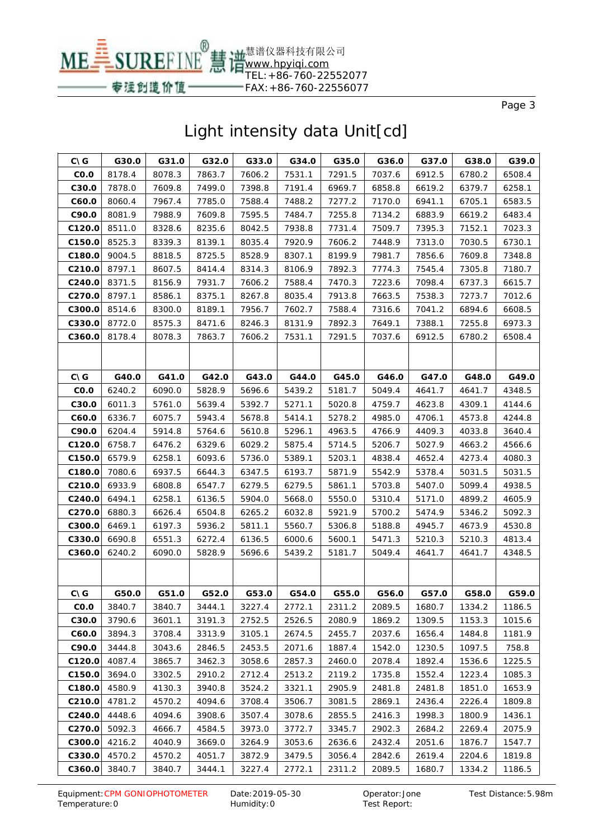

| <b>CNG</b>        | G30.0  | G31.0  | G32.0  | G33.0  | G34.0  | G35.0  | G36.0  | G37.0  | G38.0  | G39.0  |
|-------------------|--------|--------|--------|--------|--------|--------|--------|--------|--------|--------|
| CO.O              | 8178.4 | 8078.3 | 7863.7 | 7606.2 | 7531.1 | 7291.5 | 7037.6 | 6912.5 | 6780.2 | 6508.4 |
| C30.0             | 7878.0 | 7609.8 | 7499.0 | 7398.8 | 7191.4 | 6969.7 | 6858.8 | 6619.2 | 6379.7 | 6258.1 |
| C60.0             | 8060.4 | 7967.4 | 7785.0 | 7588.4 | 7488.2 | 7277.2 | 7170.0 | 6941.1 | 6705.1 | 6583.5 |
| C90.0             | 8081.9 | 7988.9 | 7609.8 | 7595.5 | 7484.7 | 7255.8 | 7134.2 | 6883.9 | 6619.2 | 6483.4 |
| C120.0            | 8511.0 | 8328.6 | 8235.6 | 8042.5 | 7938.8 | 7731.4 | 7509.7 | 7395.3 | 7152.1 | 7023.3 |
| C150.0            | 8525.3 | 8339.3 | 8139.1 | 8035.4 | 7920.9 | 7606.2 | 7448.9 | 7313.0 | 7030.5 | 6730.1 |
| C180.0            | 9004.5 | 8818.5 | 8725.5 | 8528.9 | 8307.1 | 8199.9 | 7981.7 | 7856.6 | 7609.8 | 7348.8 |
| C210.0            | 8797.1 | 8607.5 | 8414.4 | 8314.3 | 8106.9 | 7892.3 | 7774.3 | 7545.4 | 7305.8 | 7180.7 |
| C240.0            | 8371.5 | 8156.9 | 7931.7 | 7606.2 | 7588.4 | 7470.3 | 7223.6 | 7098.4 | 6737.3 | 6615.7 |
| C270.0            | 8797.1 | 8586.1 | 8375.1 | 8267.8 | 8035.4 | 7913.8 | 7663.5 | 7538.3 | 7273.7 | 7012.6 |
| C300.0            | 8514.6 | 8300.0 | 8189.1 | 7956.7 | 7602.7 | 7588.4 | 7316.6 | 7041.2 | 6894.6 | 6608.5 |
| C330.0            | 8772.0 | 8575.3 | 8471.6 | 8246.3 | 8131.9 | 7892.3 | 7649.1 | 7388.1 | 7255.8 | 6973.3 |
| C360.0            | 8178.4 | 8078.3 | 7863.7 | 7606.2 | 7531.1 | 7291.5 | 7037.6 | 6912.5 | 6780.2 | 6508.4 |
|                   |        |        |        |        |        |        |        |        |        |        |
|                   |        |        |        |        |        |        |        |        |        |        |
| <b>CNG</b>        | G40.0  | G41.0  | G42.0  | G43.0  | G44.0  | G45.0  | G46.0  | G47.0  | G48.0  | G49.0  |
| CO.O              | 6240.2 | 6090.0 | 5828.9 | 5696.6 | 5439.2 | 5181.7 | 5049.4 | 4641.7 | 4641.7 | 4348.5 |
| C <sub>30.0</sub> | 6011.3 | 5761.0 | 5639.4 | 5392.7 | 5271.1 | 5020.8 | 4759.7 | 4623.8 | 4309.1 | 4144.6 |
| C60.0             | 6336.7 | 6075.7 | 5943.4 | 5678.8 | 5414.1 | 5278.2 | 4985.0 | 4706.1 | 4573.8 | 4244.8 |
| C90.0             | 6204.4 | 5914.8 | 5764.6 | 5610.8 | 5296.1 | 4963.5 | 4766.9 | 4409.3 | 4033.8 | 3640.4 |
| C120.0            | 6758.7 | 6476.2 | 6329.6 | 6029.2 | 5875.4 | 5714.5 | 5206.7 | 5027.9 | 4663.2 | 4566.6 |
| C150.0            | 6579.9 | 6258.1 | 6093.6 | 5736.0 | 5389.1 | 5203.1 | 4838.4 | 4652.4 | 4273.4 | 4080.3 |
| C180.0            | 7080.6 | 6937.5 | 6644.3 | 6347.5 | 6193.7 | 5871.9 | 5542.9 | 5378.4 | 5031.5 | 5031.5 |
| C210.0            | 6933.9 | 6808.8 | 6547.7 | 6279.5 | 6279.5 | 5861.1 | 5703.8 | 5407.0 | 5099.4 | 4938.5 |
| C240.0            | 6494.1 | 6258.1 | 6136.5 | 5904.0 | 5668.0 | 5550.0 | 5310.4 | 5171.0 | 4899.2 | 4605.9 |
| C270.0            | 6880.3 | 6626.4 | 6504.8 | 6265.2 | 6032.8 | 5921.9 | 5700.2 | 5474.9 | 5346.2 | 5092.3 |
| C300.0            | 6469.1 | 6197.3 | 5936.2 | 5811.1 | 5560.7 | 5306.8 | 5188.8 | 4945.7 | 4673.9 | 4530.8 |
| C330.0            | 6690.8 | 6551.3 | 6272.4 | 6136.5 | 6000.6 | 5600.1 | 5471.3 | 5210.3 | 5210.3 | 4813.4 |
| C360.0            | 6240.2 | 6090.0 | 5828.9 | 5696.6 | 5439.2 | 5181.7 | 5049.4 | 4641.7 | 4641.7 | 4348.5 |
|                   |        |        |        |        |        |        |        |        |        |        |
|                   |        |        |        |        |        |        |        |        |        |        |
| <b>CNG</b>        | G50.0  | G51.0  | G52.0  | G53.0  | G54.0  | G55.0  | G56.0  | G57.0  | G58.0  | G59.0  |
| CO.O              | 3840.7 | 3840.7 | 3444.1 | 3227.4 | 2772.1 | 2311.2 | 2089.5 | 1680.7 | 1334.2 | 1186.5 |
| C30.0             | 3790.6 | 3601.1 | 3191.3 | 2752.5 | 2526.5 | 2080.9 | 1869.2 | 1309.5 | 1153.3 | 1015.6 |
| C60.0             | 3894.3 | 3708.4 | 3313.9 | 3105.1 | 2674.5 | 2455.7 | 2037.6 | 1656.4 | 1484.8 | 1181.9 |
| C90.0             | 3444.8 | 3043.6 | 2846.5 | 2453.5 | 2071.6 | 1887.4 | 1542.0 | 1230.5 | 1097.5 | 758.8  |
| C120.0            | 4087.4 | 3865.7 | 3462.3 | 3058.6 | 2857.3 | 2460.0 | 2078.4 | 1892.4 | 1536.6 | 1225.5 |
| C150.0            | 3694.0 | 3302.5 | 2910.2 | 2712.4 | 2513.2 | 2119.2 | 1735.8 | 1552.4 | 1223.4 | 1085.3 |
| C180.0            | 4580.9 | 4130.3 | 3940.8 | 3524.2 | 3321.1 | 2905.9 | 2481.8 | 2481.8 | 1851.0 | 1653.9 |
| C210.0            | 4781.2 | 4570.2 | 4094.6 | 3708.4 | 3506.7 | 3081.5 | 2869.1 | 2436.4 | 2226.4 | 1809.8 |
| C240.0            | 4448.6 | 4094.6 | 3908.6 | 3507.4 | 3078.6 | 2855.5 | 2416.3 | 1998.3 | 1800.9 | 1436.1 |
| C270.0            | 5092.3 | 4666.7 | 4584.5 | 3973.0 | 3772.7 | 3345.7 | 2902.3 | 2684.2 | 2269.4 | 2075.9 |
| C300.0            | 4216.2 | 4040.9 | 3669.0 | 3264.9 | 3053.6 | 2636.6 | 2432.4 | 2051.6 | 1876.7 | 1547.7 |
| C330.0            | 4570.2 | 4570.2 | 4051.7 | 3872.9 | 3479.5 | 3056.4 | 2842.6 | 2619.4 | 2204.6 | 1819.8 |
| C360.0            | 3840.7 | 3840.7 | 3444.1 | 3227.4 | 2772.1 | 2311.2 | 2089.5 | 1680.7 | 1334.2 | 1186.5 |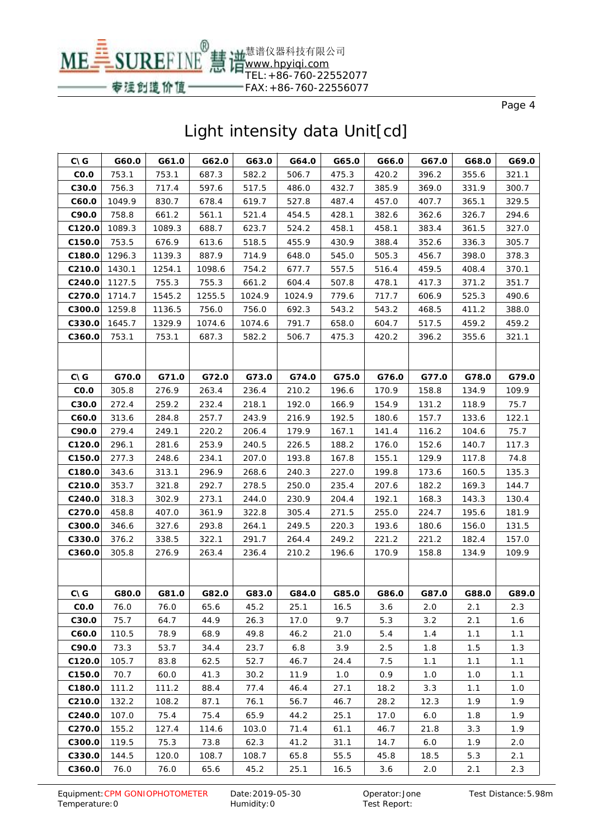

| <b>CNG</b>     | G60.0  | G61.0  | G62.0  | G63.0  | G64.0  | G65.0 | G66.0 | G67.0 | G68.0 | G69.0 |
|----------------|--------|--------|--------|--------|--------|-------|-------|-------|-------|-------|
| CO.O           | 753.1  | 753.1  | 687.3  | 582.2  | 506.7  | 475.3 | 420.2 | 396.2 | 355.6 | 321.1 |
| C30.0          | 756.3  | 717.4  | 597.6  | 517.5  | 486.0  | 432.7 | 385.9 | 369.0 | 331.9 | 300.7 |
| C60.0          | 1049.9 | 830.7  | 678.4  | 619.7  | 527.8  | 487.4 | 457.0 | 407.7 | 365.1 | 329.5 |
| C90.0          | 758.8  | 661.2  | 561.1  | 521.4  | 454.5  | 428.1 | 382.6 | 362.6 | 326.7 | 294.6 |
| C120.0         | 1089.3 | 1089.3 | 688.7  | 623.7  | 524.2  | 458.1 | 458.1 | 383.4 | 361.5 | 327.0 |
| C150.0         | 753.5  | 676.9  | 613.6  | 518.5  | 455.9  | 430.9 | 388.4 | 352.6 | 336.3 | 305.7 |
| C180.0         | 1296.3 | 1139.3 | 887.9  | 714.9  | 648.0  | 545.0 | 505.3 | 456.7 | 398.0 | 378.3 |
| C210.0         | 1430.1 | 1254.1 | 1098.6 | 754.2  | 677.7  | 557.5 | 516.4 | 459.5 | 408.4 | 370.1 |
| C240.0         | 1127.5 | 755.3  | 755.3  | 661.2  | 604.4  | 507.8 | 478.1 | 417.3 | 371.2 | 351.7 |
| C270.0         | 1714.7 | 1545.2 | 1255.5 | 1024.9 | 1024.9 | 779.6 | 717.7 | 606.9 | 525.3 | 490.6 |
| C300.0         | 1259.8 | 1136.5 | 756.0  | 756.0  | 692.3  | 543.2 | 543.2 | 468.5 | 411.2 | 388.0 |
| C330.0         | 1645.7 | 1329.9 | 1074.6 | 1074.6 | 791.7  | 658.0 | 604.7 | 517.5 | 459.2 | 459.2 |
| C360.0         | 753.1  | 753.1  | 687.3  | 582.2  | 506.7  | 475.3 | 420.2 | 396.2 | 355.6 | 321.1 |
|                |        |        |        |        |        |       |       |       |       |       |
|                |        |        |        |        |        |       |       |       |       |       |
| $C\setminus G$ | G70.0  | G71.0  | G72.0  | G73.0  | G74.0  | G75.0 | G76.0 | G77.0 | G78.0 | G79.0 |
| CO.O           | 305.8  | 276.9  | 263.4  | 236.4  | 210.2  | 196.6 | 170.9 | 158.8 | 134.9 | 109.9 |
| C30.0          | 272.4  | 259.2  | 232.4  | 218.1  | 192.0  | 166.9 | 154.9 | 131.2 | 118.9 | 75.7  |
| C60.0          | 313.6  | 284.8  | 257.7  | 243.9  | 216.9  | 192.5 | 180.6 | 157.7 | 133.6 | 122.1 |
| C90.0          | 279.4  | 249.1  | 220.2  | 206.4  | 179.9  | 167.1 | 141.4 | 116.2 | 104.6 | 75.7  |
| C120.0         | 296.1  | 281.6  | 253.9  | 240.5  | 226.5  | 188.2 | 176.0 | 152.6 | 140.7 | 117.3 |
| C150.0         | 277.3  | 248.6  | 234.1  | 207.0  | 193.8  | 167.8 | 155.1 | 129.9 | 117.8 | 74.8  |
| C180.0         | 343.6  | 313.1  | 296.9  | 268.6  | 240.3  | 227.0 | 199.8 | 173.6 | 160.5 | 135.3 |
| C210.0         | 353.7  | 321.8  | 292.7  | 278.5  | 250.0  | 235.4 | 207.6 | 182.2 | 169.3 | 144.7 |
| C240.0         | 318.3  | 302.9  | 273.1  | 244.0  | 230.9  | 204.4 | 192.1 | 168.3 | 143.3 | 130.4 |
| C270.0         | 458.8  | 407.0  | 361.9  | 322.8  | 305.4  | 271.5 | 255.0 | 224.7 | 195.6 | 181.9 |
| C300.0         | 346.6  | 327.6  | 293.8  | 264.1  | 249.5  | 220.3 | 193.6 | 180.6 | 156.0 | 131.5 |
| C330.0         | 376.2  | 338.5  | 322.1  | 291.7  | 264.4  | 249.2 | 221.2 | 221.2 | 182.4 | 157.0 |
| C360.0         | 305.8  | 276.9  | 263.4  | 236.4  | 210.2  | 196.6 | 170.9 | 158.8 | 134.9 | 109.9 |
|                |        |        |        |        |        |       |       |       |       |       |
|                |        |        |        |        |        |       |       |       |       |       |
| <b>CNG</b>     | G80.0  | G81.0  | G82.0  | G83.0  | G84.0  | G85.0 | G86.0 | G87.0 | G88.0 | G89.0 |
| CO.O           | 76.0   | 76.0   | 65.6   | 45.2   | 25.1   | 16.5  | 3.6   | 2.0   | 2.1   | 2.3   |
| C30.0          | 75.7   | 64.7   | 44.9   | 26.3   | 17.0   | 9.7   | 5.3   | 3.2   | 2.1   | 1.6   |
| C60.0          | 110.5  | 78.9   | 68.9   | 49.8   | 46.2   | 21.0  | 5.4   | 1.4   | 1.1   | 1.1   |
| C90.0          | 73.3   | 53.7   | 34.4   | 23.7   | 6.8    | 3.9   | 2.5   | 1.8   | 1.5   | 1.3   |
| C120.0         | 105.7  | 83.8   | 62.5   | 52.7   | 46.7   | 24.4  | 7.5   | 1.1   | 1.1   | 1.1   |
| C150.0         | 70.7   | 60.0   | 41.3   | 30.2   | 11.9   | 1.0   | 0.9   | 1.0   | 1.0   | 1.1   |
| C180.0         | 111.2  | 111.2  | 88.4   | 77.4   | 46.4   | 27.1  | 18.2  | 3.3   | 1.1   | 1.0   |
| C210.0         | 132.2  | 108.2  | 87.1   | 76.1   | 56.7   | 46.7  | 28.2  | 12.3  | 1.9   | 1.9   |
| C240.0         | 107.0  | 75.4   | 75.4   | 65.9   | 44.2   | 25.1  | 17.0  | 6.0   | 1.8   | 1.9   |
| C270.0         | 155.2  | 127.4  | 114.6  | 103.0  | 71.4   | 61.1  | 46.7  | 21.8  | 3.3   | 1.9   |
| C300.0         | 119.5  | 75.3   | 73.8   | 62.3   | 41.2   | 31.1  | 14.7  | 6.0   | 1.9   | 2.0   |
| C330.0         | 144.5  | 120.0  | 108.7  | 108.7  | 65.8   | 55.5  | 45.8  | 18.5  | 5.3   | 2.1   |
| C360.0         | 76.0   | 76.0   | 65.6   | 45.2   | 25.1   | 16.5  | 3.6   | 2.0   | 2.1   | 2.3   |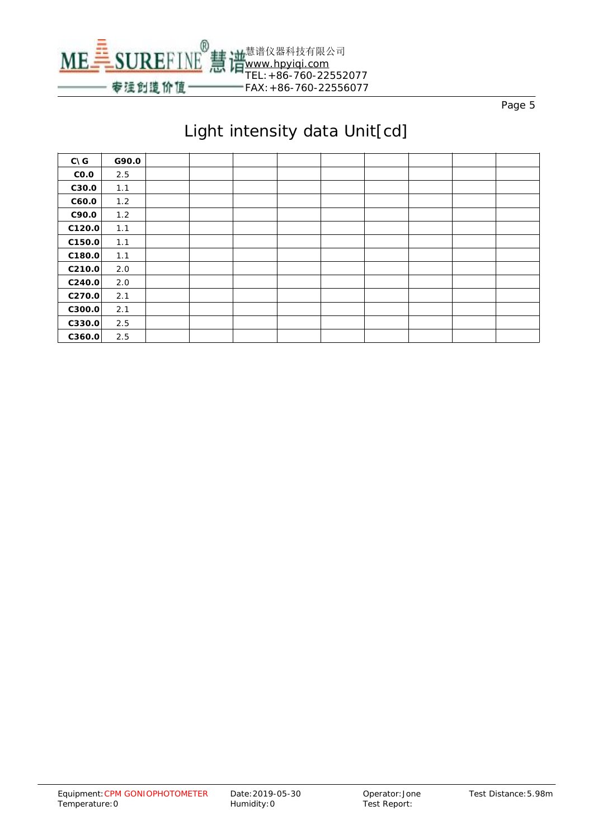

| $C\setminus G$     | G90.0 |  |  |  |  |  |
|--------------------|-------|--|--|--|--|--|
| CO.O               | 2.5   |  |  |  |  |  |
| C30.0              | 1.1   |  |  |  |  |  |
| C60.0              | 1.2   |  |  |  |  |  |
| C90.0              | 1.2   |  |  |  |  |  |
| C120.0             | 1.1   |  |  |  |  |  |
| C150.0             | 1.1   |  |  |  |  |  |
| C180.0             | 1.1   |  |  |  |  |  |
| C <sub>210.0</sub> | 2.0   |  |  |  |  |  |
| C240.0             | 2.0   |  |  |  |  |  |
| C270.0             | 2.1   |  |  |  |  |  |
| C300.0             | 2.1   |  |  |  |  |  |
| C330.0             | 2.5   |  |  |  |  |  |
| C360.0             | 2.5   |  |  |  |  |  |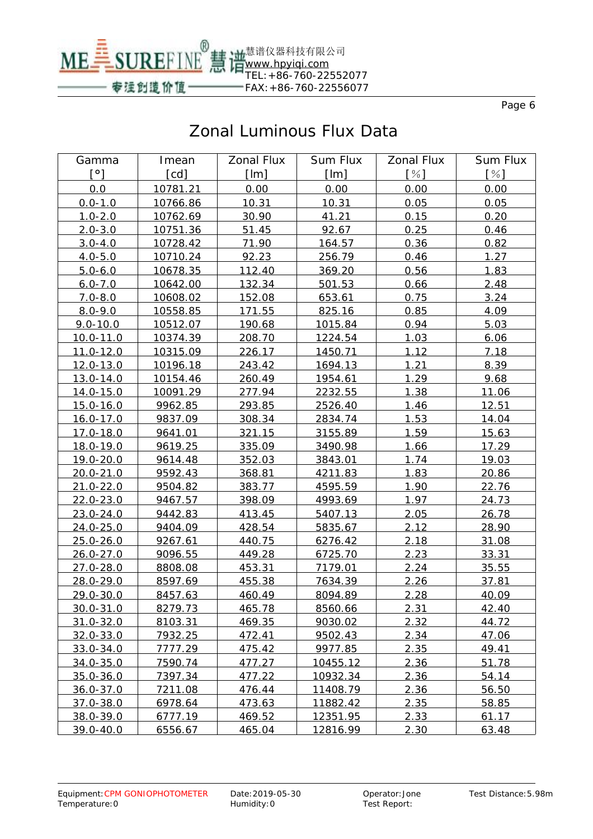

# Zonal Luminous Flux Data

| Gamma            | Imean             | <b>Zonal Flux</b> | <b>Sum Flux</b> | <b>Zonal Flux</b> | <b>Sum Flux</b> |
|------------------|-------------------|-------------------|-----------------|-------------------|-----------------|
| $[^{\circ}]$     | $[{\mathsf{cd}}]$ | [Im]              | [Im]            | [%]               | [%]             |
| 0.0              | 10781.21          | 0.00              | 0.00            | 0.00              | 0.00            |
| $0.0 - 1.0$      | 10766.86          | 10.31             | 10.31           | 0.05              | 0.05            |
| $1.0 - 2.0$      | 10762.69          | 30.90             | 41.21           | 0.15              | 0.20            |
| $2.0 - 3.0$      | 10751.36          | 51.45             | 92.67           | 0.25              | 0.46            |
| $3.0 - 4.0$      | 10728.42          | 71.90             | 164.57          | 0.36              | 0.82            |
| $4.0 - 5.0$      | 10710.24          | 92.23             | 256.79          | 0.46              | 1.27            |
| $5.0 - 6.0$      | 10678.35          | 112.40            | 369.20          | 0.56              | 1.83            |
| $6.0 - 7.0$      | 10642.00          | 132.34            | 501.53          | 0.66              | 2.48            |
| $7.0 - 8.0$      | 10608.02          | 152.08            | 653.61          | 0.75              | 3.24            |
| $8.0 - 9.0$      | 10558.85          | 171.55            | 825.16          | 0.85              | 4.09            |
| $9.0 - 10.0$     | 10512.07          | 190.68            | 1015.84         | 0.94              | 5.03            |
| 10.0-11.0        | 10374.39          | 208.70            | 1224.54         | 1.03              | 6.06            |
| $11.0 - 12.0$    | 10315.09          | 226.17            | 1450.71         | 1.12              | 7.18            |
| 12.0-13.0        | 10196.18          | 243.42            | 1694.13         | 1.21              | 8.39            |
| 13.0-14.0        | 10154.46          | 260.49            | 1954.61         | 1.29              | 9.68            |
| 14.0-15.0        | 10091.29          | 277.94            | 2232.55         | 1.38              | 11.06           |
| $15.0 - 16.0$    | 9962.85           | 293.85            | 2526.40         | 1.46              | 12.51           |
| $16.0 - 17.0$    | 9837.09           | 308.34            | 2834.74         | 1.53              | 14.04           |
| 17.0-18.0        | 9641.01           | 321.15            | 3155.89         | 1.59              | 15.63           |
| <u>18.0-19.0</u> | 9619.25           | 335.09            | 3490.98         | <u>1.66</u>       | 17.29           |
| 19.0-20.0        | 9614.48           | 352.03            | 3843.01         | 1.74              | 19.03           |
| 20.0-21.0        | 9592.43           | 368.81            | 4211.83         | 1.83              | 20.86           |
| $21.0 - 22.0$    | 9504.82           | 383.77            | 4595.59         | 1.90              | 22.76           |
| 22.0-23.0        | 9467.57           | 398.09            | 4993.69         | 1.97              | 24.73           |
| $23.0 - 24.0$    | 9442.83           | 413.45            | 5407.13         | 2.05              | 26.78           |
| $24.0 - 25.0$    | 9404.09           | 428.54            | 5835.67         | 2.12              | 28.90           |
| $25.0 - 26.0$    | 9267.61           | 440.75            | 6276.42         | 2.18              | 31.08           |
| $26.0 - 27.0$    | 9096.55           | 449.28            | 6725.70         | 2.23              | 33.31           |
| $27.0 - 28.0$    | 8808.08           | 453.31            | 7179.01         | 2.24              | 35.55           |
| 28.0-29.0        | 8597.69           | 455.38            | 7634.39         | 2.26              | 37.81           |
| 29.0-30.0        | 8457.63           | 460.49            | 8094.89         | 2.28              | 40.09           |
| 30.0-31.0        | 8279.73           | 465.78            | 8560.66         | 2.31              | 42.40           |
| 31.0-32.0        | 8103.31           | 469.35            | 9030.02         | 2.32              | 44.72           |
| 32.0-33.0        | 7932.25           | 472.41            | 9502.43         | 2.34              | 47.06           |
| 33.0-34.0        | 7777.29           | 475.42            | 9977.85         | 2.35              | 49.41           |
| $34.0 - 35.0$    | 7590.74           | 477.27            | 10455.12        | 2.36              | 51.78           |
| $35.0 - 36.0$    | 7397.34           | 477.22            | 10932.34        | 2.36              | 54.14           |
| $36.0 - 37.0$    | 7211.08           | 476.44            | 11408.79        | 2.36              | 56.50           |
| 37.0-38.0        | 6978.64           | 473.63            | 11882.42        | 2.35              | 58.85           |
| 38.0-39.0        | 6777.19           | 469.52            | 12351.95        | 2.33              | 61.17           |
| 39.0-40.0        | 6556.67           | 465.04            | 12816.99        | 2.30              | 63.48           |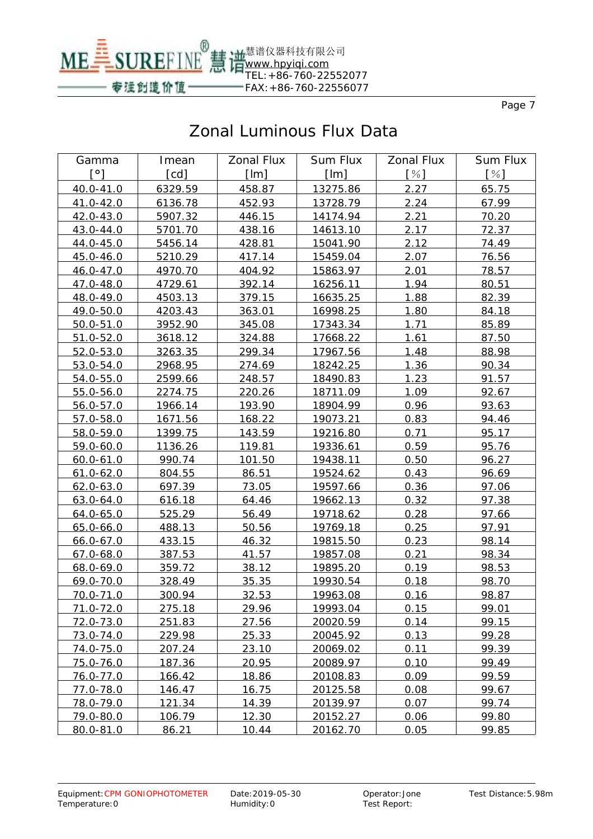

# Zonal Luminous Flux Data

| Gamma         | Imean   | <b>Zonal Flux</b> | Sum Flux | <b>Zonal Flux</b> | Sum Flux |
|---------------|---------|-------------------|----------|-------------------|----------|
| [°]           | [cd]    | [Im]              | [Im]     | $[\%]$            | [%]      |
| 40.0-41.0     | 6329.59 | 458.87            | 13275.86 | 2.27              | 65.75    |
| 41.0-42.0     | 6136.78 | 452.93            | 13728.79 | 2.24              | 67.99    |
| 42.0-43.0     | 5907.32 | 446.15            | 14174.94 | 2.21              | 70.20    |
| 43.0-44.0     | 5701.70 | 438.16            | 14613.10 | 2.17              | 72.37    |
| 44.0-45.0     | 5456.14 | 428.81            | 15041.90 | 2.12              | 74.49    |
| 45.0-46.0     | 5210.29 | 417.14            | 15459.04 | 2.07              | 76.56    |
| 46.0-47.0     | 4970.70 | 404.92            | 15863.97 | 2.01              | 78.57    |
| 47.0-48.0     | 4729.61 | 392.14            | 16256.11 | 1.94              | 80.51    |
| 48.0-49.0     | 4503.13 | 379.15            | 16635.25 | 1.88              | 82.39    |
| 49.0-50.0     | 4203.43 | 363.01            | 16998.25 | 1.80              | 84.18    |
| $50.0 - 51.0$ | 3952.90 | 345.08            | 17343.34 | 1.71              | 85.89    |
| $51.0 - 52.0$ | 3618.12 | 324.88            | 17668.22 | <u>1.61</u>       | 87.50    |
| $52.0 - 53.0$ | 3263.35 | 299.34            | 17967.56 | 1.48              | 88.98    |
| 53.0-54.0     | 2968.95 | 274.69            | 18242.25 | 1.36              | 90.34    |
| $54.0 - 55.0$ | 2599.66 | 248.57            | 18490.83 | 1.23              | 91.57    |
| 55.0-56.0     | 2274.75 | 220.26            | 18711.09 | 1.09              | 92.67    |
| $56.0 - 57.0$ | 1966.14 | 193.90            | 18904.99 | 0.96              | 93.63    |
| 57.0-58.0     | 1671.56 | 168.22            | 19073.21 | 0.83              | 94.46    |
| 58.0-59.0     | 1399.75 | 143.59            | 19216.80 | 0.71              | 95.17    |
| 59.0-60.0     | 1136.26 | <u>119.81</u>     | 19336.61 | 0.59              | 95.76    |
| $60.0 - 61.0$ | 990.74  | 101.50            | 19438.11 | 0.50              | 96.27    |
| $61.0 - 62.0$ | 804.55  | 86.51             | 19524.62 | 0.43              | 96.69    |
| $62.0 - 63.0$ | 697.39  | 73.05             | 19597.66 | 0.36              | 97.06    |
| $63.0 - 64.0$ | 616.18  | 64.46             | 19662.13 | 0.32              | 97.38    |
| $64.0 - 65.0$ | 525.29  | 56.49             | 19718.62 | 0.28              | 97.66    |
| $65.0 - 66.0$ | 488.13  | 50.56             | 19769.18 | 0.25              | 97.91    |
| 66.0-67.0     | 433.15  | 46.32             | 19815.50 | 0.23              | 98.14    |
| 67.0-68.0     | 387.53  | 41.57             | 19857.08 | 0.21              | 98.34    |
| 68.0-69.0     | 359.72  | 38.12             | 19895.20 | 0.19              | 98.53    |
| $69.0 - 70.0$ | 328.49  | 35.35             | 19930.54 | 0.18              | 98.70    |
| 70.0-71.0     | 300.94  | 32.53             | 19963.08 | 0.16              | 98.87    |
| 71.0-72.0     | 275.18  | 29.96             | 19993.04 | 0.15              | 99.01    |
| 72.0-73.0     | 251.83  | 27.56             | 20020.59 | 0.14              | 99.15    |
| 73.0-74.0     | 229.98  | 25.33             | 20045.92 | 0.13              | 99.28    |
| 74.0-75.0     | 207.24  | 23.10             | 20069.02 | 0.11              | 99.39    |
| 75.0-76.0     | 187.36  | 20.95             | 20089.97 | 0.10              | 99.49    |
| 76.0-77.0     | 166.42  | 18.86             | 20108.83 | 0.09              | 99.59    |
| 77.0-78.0     | 146.47  | 16.75             | 20125.58 | 0.08              | 99.67    |
| 78.0-79.0     | 121.34  | 14.39             | 20139.97 | 0.07              | 99.74    |
| 79.0-80.0     | 106.79  | 12.30             | 20152.27 | 0.06              | 99.80    |
| 80.0-81.0     | 86.21   | 10.44             | 20162.70 | 0.05              | 99.85    |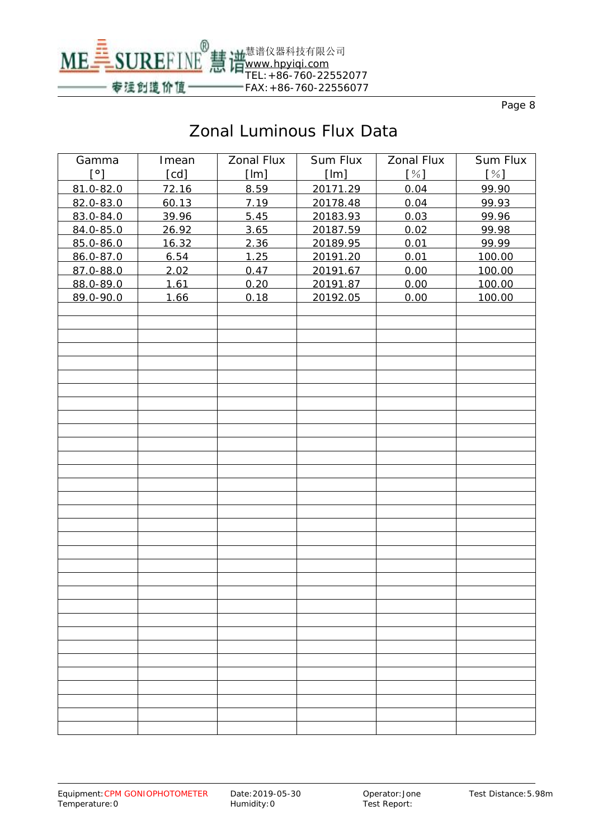

# Zonal Luminous Flux Data

| Gamma                | Imean | <b>Zonal Flux</b> | <b>Sum Flux</b> | <b>Zonal Flux</b> | <b>Sum Flux</b> |
|----------------------|-------|-------------------|-----------------|-------------------|-----------------|
| $\mathsf{I}^{\circ}$ | [cd]  | [Im]              | [Im]            | [%]               | [%]             |
| 81.0-82.0            | 72.16 | 8.59              | 20171.29        | 0.04              | 99.90           |
| 82.0-83.0            | 60.13 | 7.19              | 20178.48        | 0.04              | 99.93           |
| 83.0-84.0            | 39.96 | 5.45              | 20183.93        | 0.03              | 99.96           |
| 84.0-85.0            | 26.92 | 3.65              | 20187.59        | 0.02              | 99.98           |
| 85.0-86.0            | 16.32 | 2.36              | 20189.95        | 0.01              | 99.99           |
| 86.0-87.0            | 6.54  | 1.25              | 20191.20        | 0.01              | 100.00          |
| 87.0-88.0            | 2.02  | 0.47              | 20191.67        | 0.00              | 100.00          |
| 88.0-89.0            | 1.61  | 0.20              | 20191.87        | 0.00              | 100.00          |
| 89.0-90.0            | 1.66  | 0.18              | 20192.05        | 0.00              | 100.00          |
|                      |       |                   |                 |                   |                 |
|                      |       |                   |                 |                   |                 |
|                      |       |                   |                 |                   |                 |
|                      |       |                   |                 |                   |                 |
|                      |       |                   |                 |                   |                 |
|                      |       |                   |                 |                   |                 |
|                      |       |                   |                 |                   |                 |
|                      |       |                   |                 |                   |                 |
|                      |       |                   |                 |                   |                 |
|                      |       |                   |                 |                   |                 |
|                      |       |                   |                 |                   |                 |
|                      |       |                   |                 |                   |                 |
|                      |       |                   |                 |                   |                 |
|                      |       |                   |                 |                   |                 |
|                      |       |                   |                 |                   |                 |
|                      |       |                   |                 |                   |                 |
|                      |       |                   |                 |                   |                 |
|                      |       |                   |                 |                   |                 |
|                      |       |                   |                 |                   |                 |
|                      |       |                   |                 |                   |                 |
|                      |       |                   |                 |                   |                 |
|                      |       |                   |                 |                   |                 |
|                      |       |                   |                 |                   |                 |
|                      |       |                   |                 |                   |                 |
|                      |       |                   |                 |                   |                 |
|                      |       |                   |                 |                   |                 |
|                      |       |                   |                 |                   |                 |
|                      |       |                   |                 |                   |                 |
|                      |       |                   |                 |                   |                 |
|                      |       |                   |                 |                   |                 |
|                      |       |                   |                 |                   |                 |
|                      |       |                   |                 |                   |                 |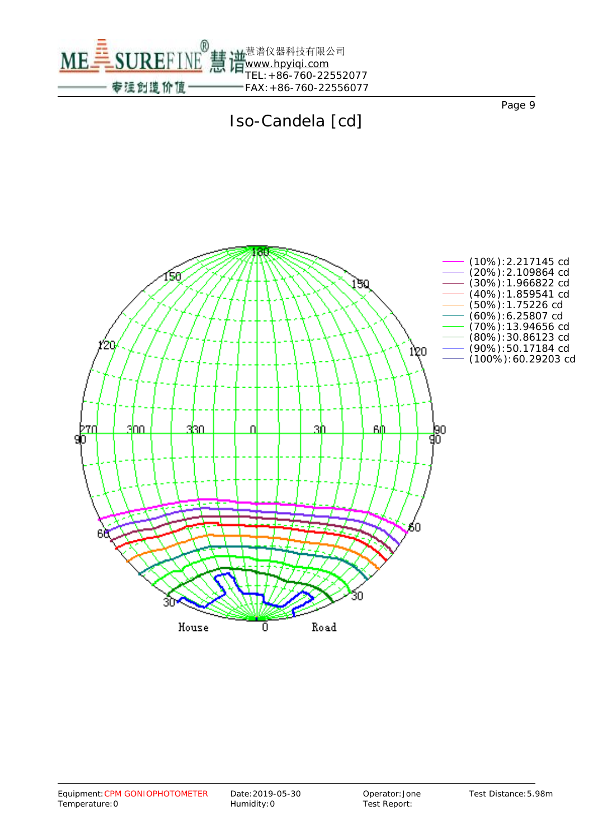



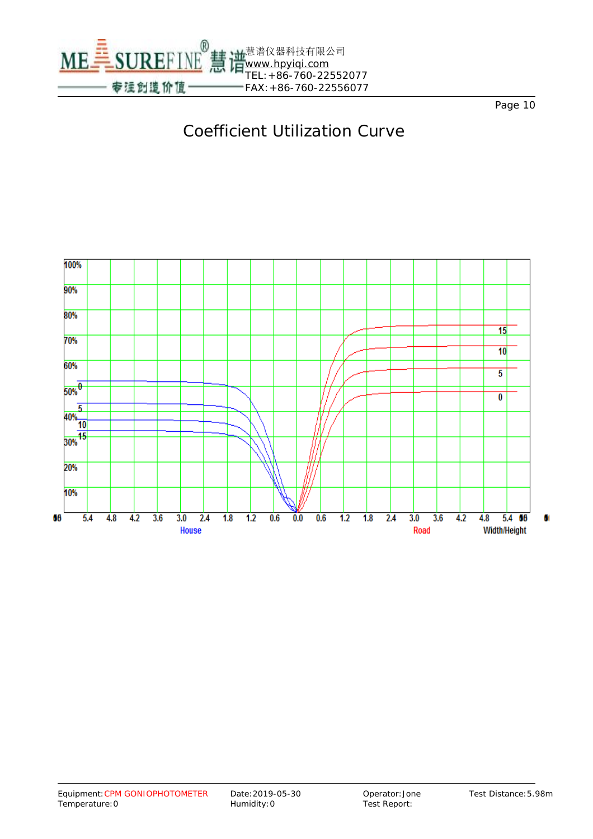



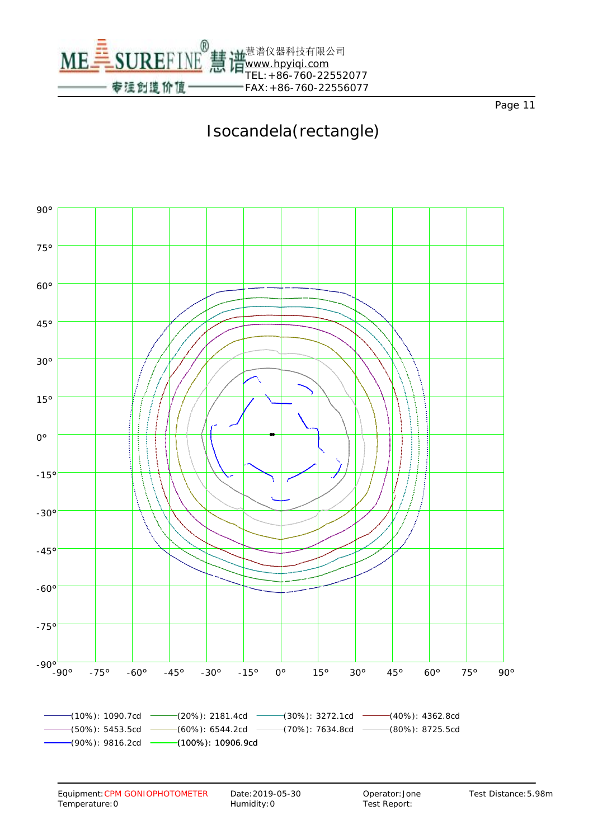

# Isocandela(rectangle)

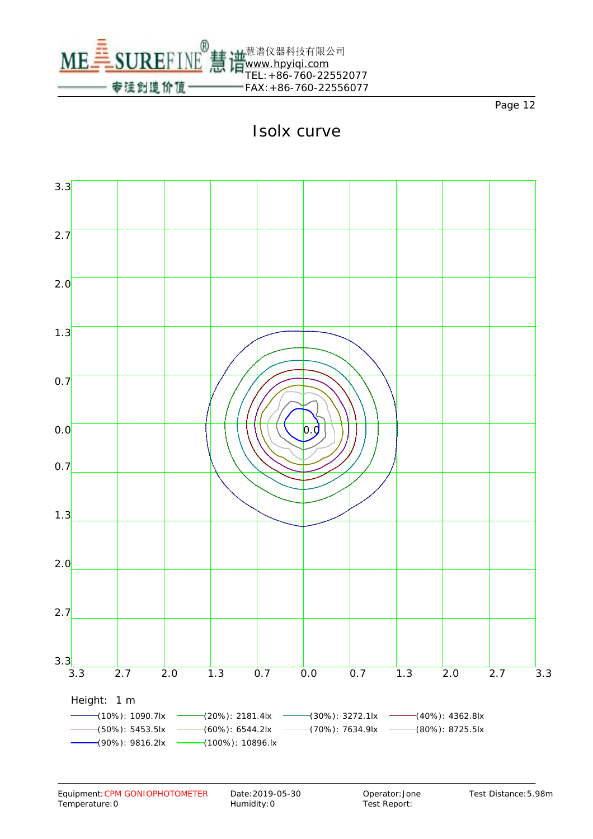

## Isolx curve

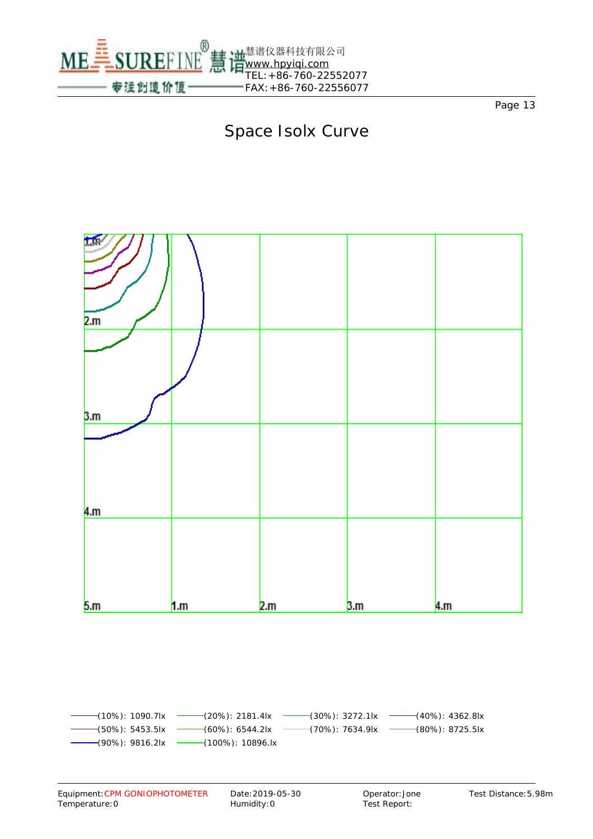

## Space Isolx Curve



-(10%): 1090.7lx (20%): 2181.4lx (30%): 3272.1lx (40%): 4362.8lx (50%): 5453.5lx (60%): 6544.2lx (70%): 7634.9lx (80%): 8725.5lx (90%): 9816.2lx (100%): 10896.lx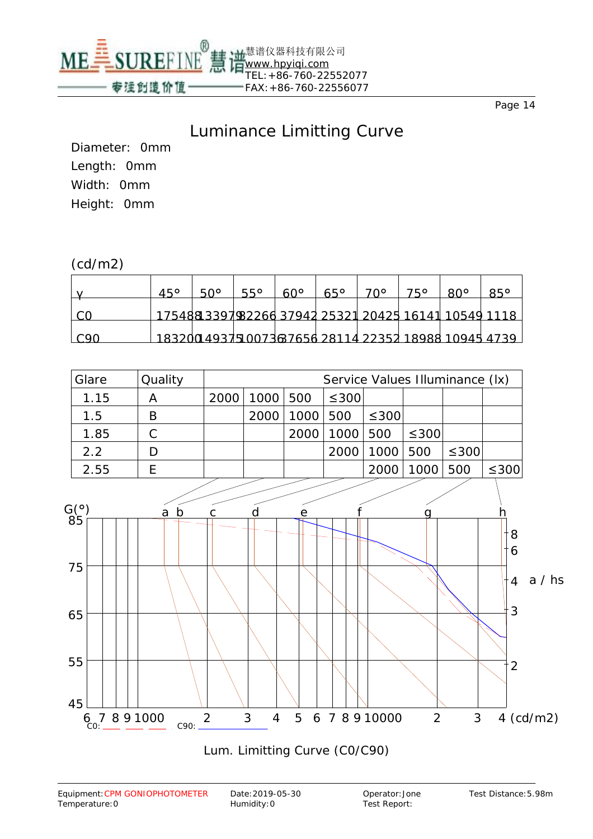

#### Luminance Limitting Curve

Diameter: 0mm Length: 0mm Width: 0mm Height: 0mm

#### (cd/m2)

|      | $45^\circ$ | <u>50°</u>                                           | $55^\circ$ | $60^\circ$ | $65^\circ$ | 70° | 750 | $80^\circ$ | $85^\circ$ |
|------|------------|------------------------------------------------------|------------|------------|------------|-----|-----|------------|------------|
|      |            | 17548813397982266 37942 25321 20425 16141 10549 1118 |            |            |            |     |     |            |            |
| ⊺C90 |            | 183200 49375 00736 7656 28114 22352 18988 10945 4739 |            |            |            |     |     |            |            |

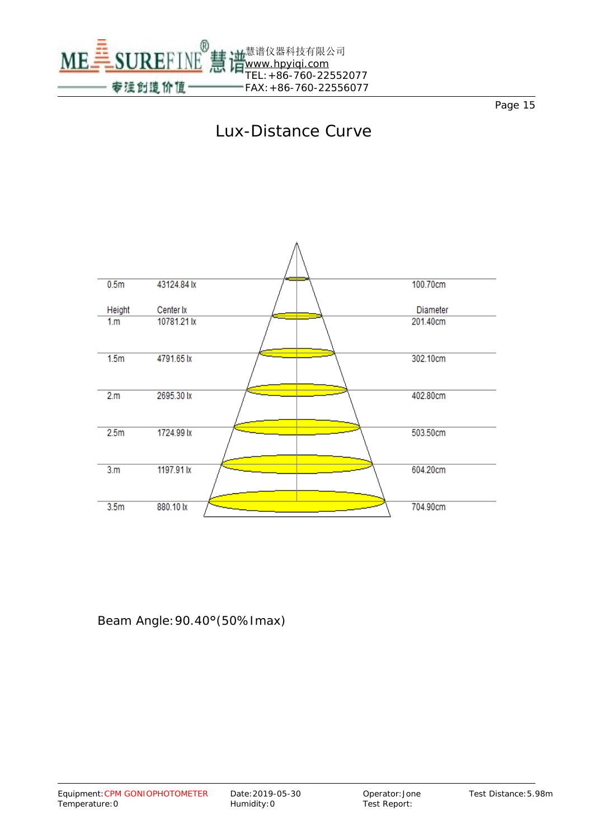





Beam Angle:90.40°(50%Imax)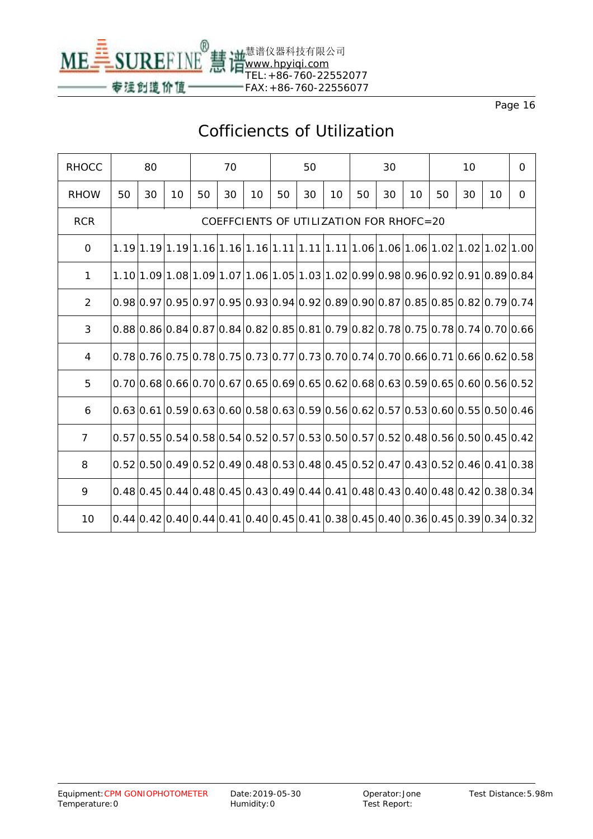

## Cofficiencts of Utilization

| <b>RHOCC</b>   |    | 80 |    |    | 70 |                                         |    | 50 |                 |    | 30 |    |    | 10 |    | $\mathbf 0$                                                                                                                            |
|----------------|----|----|----|----|----|-----------------------------------------|----|----|-----------------|----|----|----|----|----|----|----------------------------------------------------------------------------------------------------------------------------------------|
| <b>RHOW</b>    | 50 | 30 | 10 | 50 | 30 | 10                                      | 50 | 30 | 10 <sup>°</sup> | 50 | 30 | 10 | 50 | 30 | 10 | $\mathbf 0$                                                                                                                            |
| <b>RCR</b>     |    |    |    |    |    | COEFFCIENTS OF UTILIZATION FOR RHOFC=20 |    |    |                 |    |    |    |    |    |    |                                                                                                                                        |
| $\mathbf 0$    |    |    |    |    |    |                                         |    |    |                 |    |    |    |    |    |    |                                                                                                                                        |
| $\mathbf{1}$   |    |    |    |    |    |                                         |    |    |                 |    |    |    |    |    |    | $1.10 1.09 1.08 1.09 1.07 1.06 1.05 1.03 1.02 0.99 0.98 0.96 0.92 0.91 0.89 0.84$                                                      |
| $\overline{2}$ |    |    |    |    |    |                                         |    |    |                 |    |    |    |    |    |    | $[0.98]0.97]0.95]0.97]0.95]0.93]0.94]0.92]0.89]0.90]0.87]0.85]0.85]0.82]0.79]0.74]$                                                    |
| $\overline{3}$ |    |    |    |    |    |                                         |    |    |                 |    |    |    |    |    |    |                                                                                                                                        |
| 4              |    |    |    |    |    |                                         |    |    |                 |    |    |    |    |    |    | $[0.78]0.76]0.75]0.78]0.75]0.73]0.77]0.73]0.70]0.74]0.70]0.66]0.71]0.66]0.62]0.58]$                                                    |
| 5              |    |    |    |    |    |                                         |    |    |                 |    |    |    |    |    |    | $0.70 0.68 0.66 0.70 0.67 0.65 0.69 0.65 0.62 0.68 0.63 0.59 0.65 0.60 0.56 0.52$                                                      |
| 6              |    |    |    |    |    |                                         |    |    |                 |    |    |    |    |    |    | $0.63 0.61 0.59 0.63 0.60 0.58 0.63 0.59 0.56 0.62 0.57 0.53 0.60 0.55 0.50 0.46 $                                                     |
| $\overline{7}$ |    |    |    |    |    |                                         |    |    |                 |    |    |    |    |    |    | $[0.57]$ $[0.55]$ $[0.54]$ $[0.58]$ $[0.54]$ $[0.52]$ $[0.57]$ $[0.50]$ $[0.57]$ $[0.52]$ $[0.48]$ $[0.56]$ $[0.50]$ $[0.45]$ $[0.42]$ |
| 8              |    |    |    |    |    |                                         |    |    |                 |    |    |    |    |    |    | $[0.52]$ $0.50]$ $0.49]$ $0.52]$ $0.49]$ $0.48]$ $0.53]$ $0.48]$ $0.45]$ $0.52]$ $0.47]$ $0.43]$ $0.52]$ $0.46]$ $0.41]$ $0.38]$       |
| 9              |    |    |    |    |    |                                         |    |    |                 |    |    |    |    |    |    | $0.48 0.45 0.44 0.48 0.45 0.43 0.49 0.44 0.41 0.48 0.43 0.40 0.48 0.42 0.38 0.34$                                                      |
| 10             |    |    |    |    |    |                                         |    |    |                 |    |    |    |    |    |    | $0.44 0.42 0.40 0.44 0.41 0.40 0.45 0.41 0.38 0.45 0.40 0.36 0.45 0.39 0.34 0.32 $                                                     |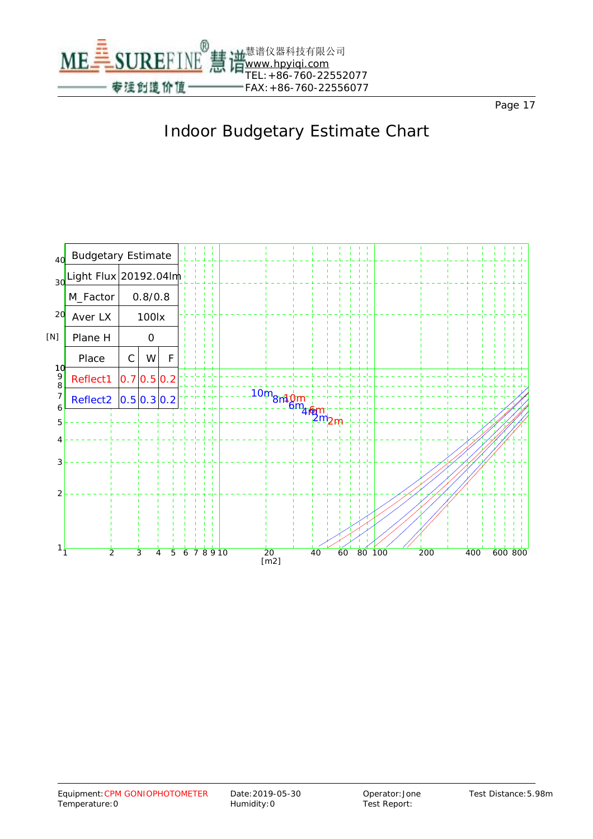